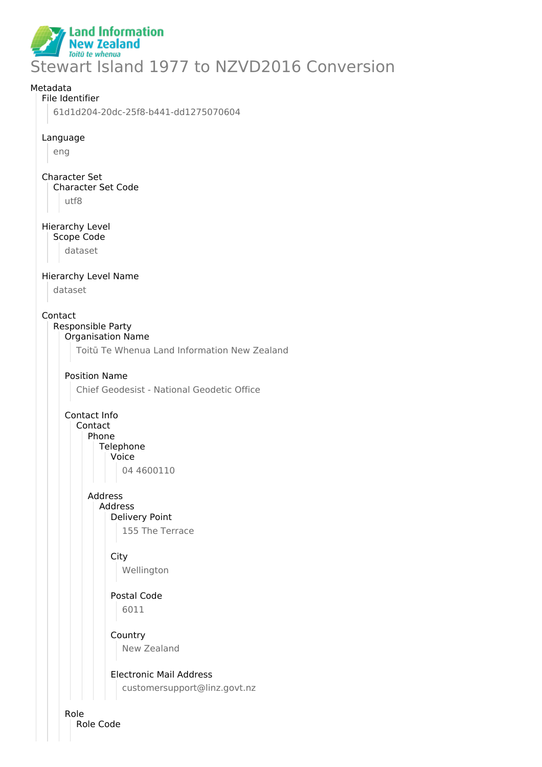

# Metadata File Identifier 61d1d204-20dc-25f8-b441-dd1275070604 Language eng Character Set Character Set Code utf8 Hierarchy Level Scope Code dataset Hierarchy Level Name dataset Contact Responsible Party Organisation Name Toitū Te Whenua Land Information New Zealand Position Name Chief Geodesist - National Geodetic Office Contact Info Contact Phone **Telephone** Voice 04 4600110 Address Address Delivery Point 155 The Terrace **City** Wellington Postal Code 6011 **Country** New Zealand Electronic Mail Address customersupport@linz.govt.nz Role

Role Code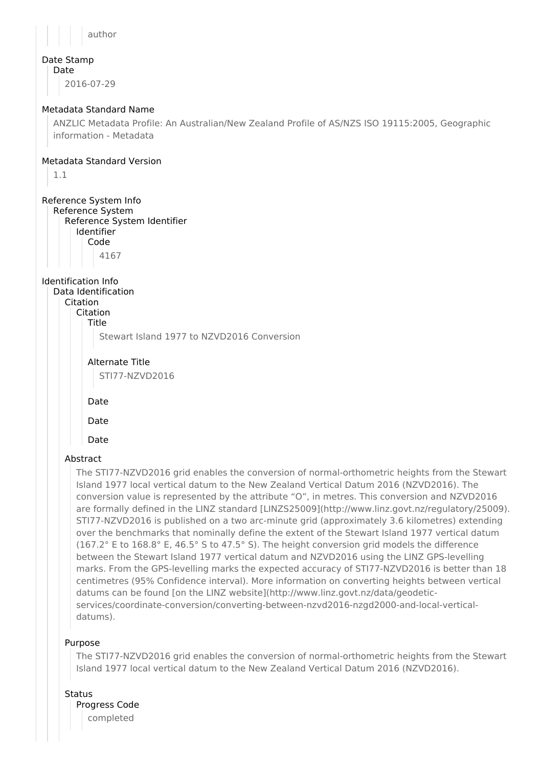author

#### Date Stamp Date

2016-07-29

### Metadata Standard Name

ANZLIC Metadata Profile: An Australian/New Zealand Profile of AS/NZS ISO 19115:2005, Geographic information - Metadata

### Metadata Standard Version

1.1

## Reference System Info

Reference System Reference System Identifier Identifier Code 4167

Identification Info Data Identification Citation Citation

Title

Stewart Island 1977 to NZVD2016 Conversion

Alternate Title

STI77-NZVD2016

Date

Date

Date

### Abstract

The STI77-NZVD2016 grid enables the conversion of normal-orthometric heights from the Stewart Island 1977 local vertical datum to the New Zealand Vertical Datum 2016 (NZVD2016). The conversion value is represented by the attribute "O", in metres. This conversion and NZVD2016 are formally defined in the LINZ standard [LINZS25009](http://www.linz.govt.nz/regulatory/25009). STI77-NZVD2016 is published on a two arc-minute grid (approximately 3.6 kilometres) extending over the benchmarks that nominally define the extent of the Stewart Island 1977 vertical datum (167.2° E to 168.8° E, 46.5° S to 47.5° S). The height conversion grid models the difference between the Stewart Island 1977 vertical datum and NZVD2016 using the LINZ GPS-levelling marks. From the GPS-levelling marks the expected accuracy of STI77-NZVD2016 is better than 18 centimetres (95% Confidence interval). More information on converting heights between vertical datums can be found [on the LINZ website](http://www.linz.govt.nz/data/geodeticservices/coordinate-conversion/converting-between-nzvd2016-nzgd2000-and-local-verticaldatums).

### Purpose

The STI77-NZVD2016 grid enables the conversion of normal-orthometric heights from the Stewart Island 1977 local vertical datum to the New Zealand Vertical Datum 2016 (NZVD2016).

**Status** 

Progress Code completed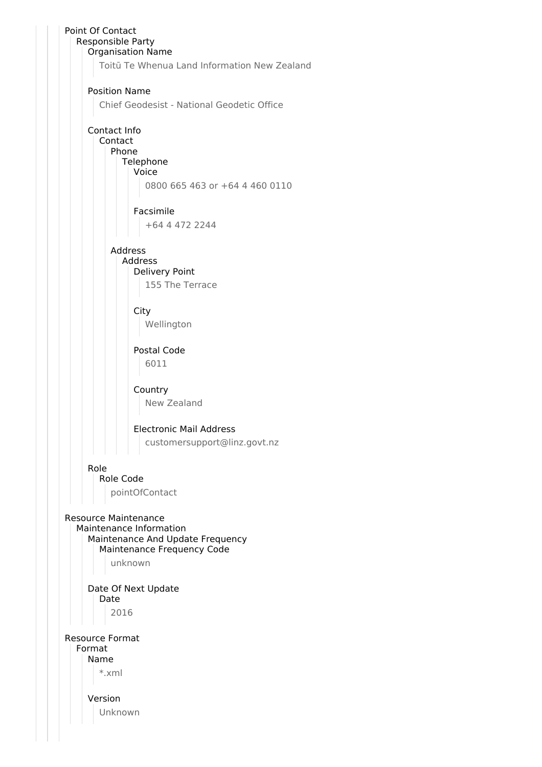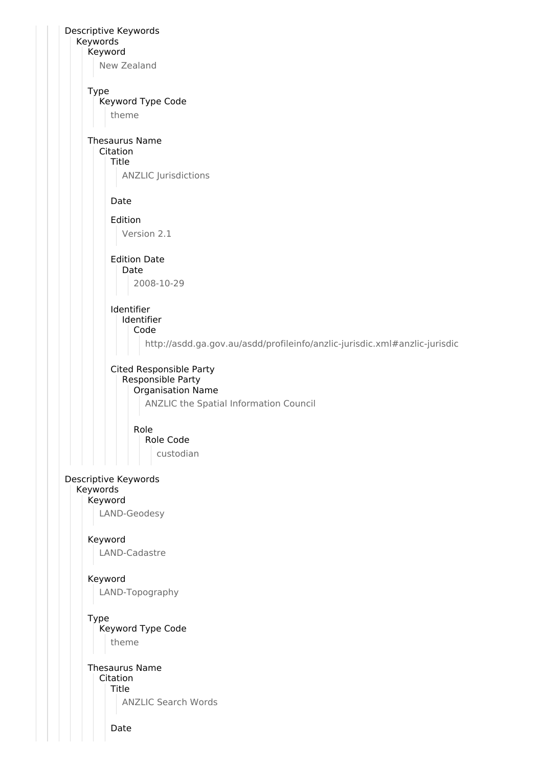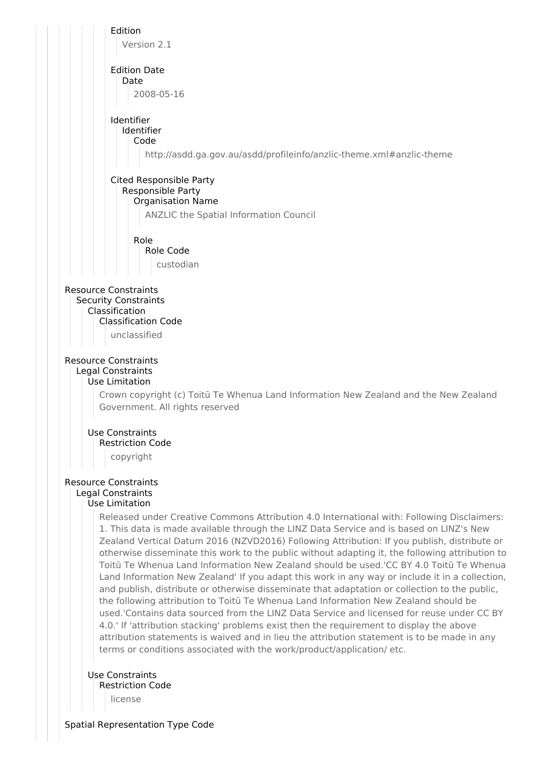

license

Spatial Representation Type Code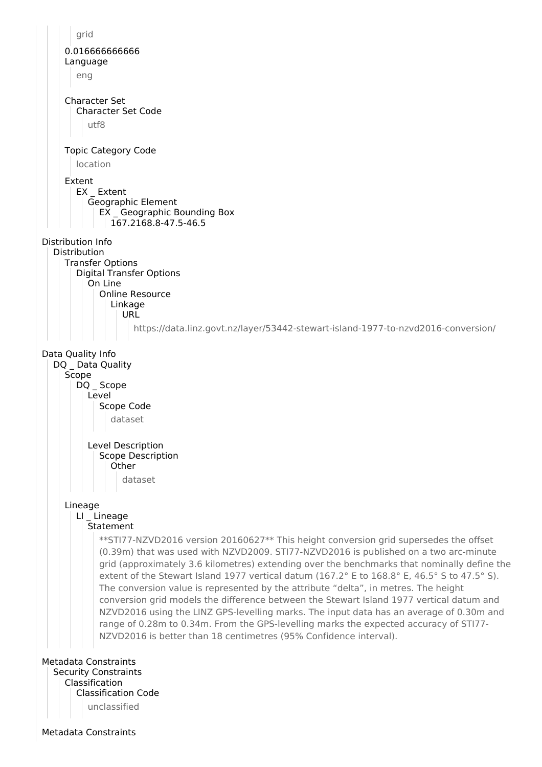